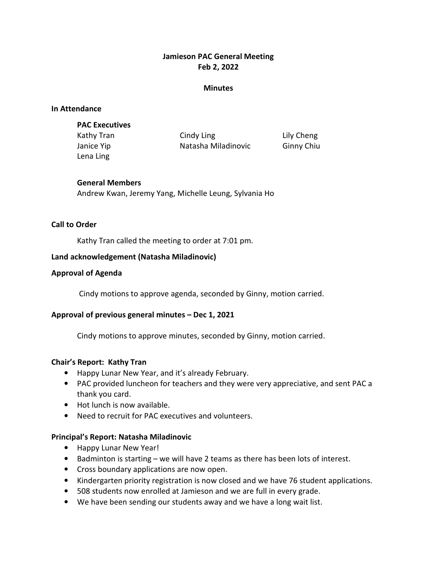# Jamieson PAC General Meeting Feb 2, 2022

#### **Minutes**

#### In Attendance

Lena Ling

Kathy Tran **Cindy Ling Communist Communist Communist** Lily Cheng Janice Yip **Natasha Miladinovic** Ginny Chiu

### General Members

Andrew Kwan, Jeremy Yang, Michelle Leung, Sylvania Ho

### Call to Order

Kathy Tran called the meeting to order at 7:01 pm.

### Land acknowledgement (Natasha Miladinovic)

### Approval of Agenda

Cindy motions to approve agenda, seconded by Ginny, motion carried.

### Approval of previous general minutes – Dec 1, 2021

Cindy motions to approve minutes, seconded by Ginny, motion carried.

### Chair's Report: Kathy Tran

- Happy Lunar New Year, and it's already February.
- PAC provided luncheon for teachers and they were very appreciative, and sent PAC a thank you card.
- Hot lunch is now available.
- Need to recruit for PAC executives and volunteers.

### Principal's Report: Natasha Miladinovic

- Happy Lunar New Year!
- Badminton is starting we will have 2 teams as there has been lots of interest.
- Cross boundary applications are now open.
- Kindergarten priority registration is now closed and we have 76 student applications.
- 508 students now enrolled at Jamieson and we are full in every grade.
- We have been sending our students away and we have a long wait list.